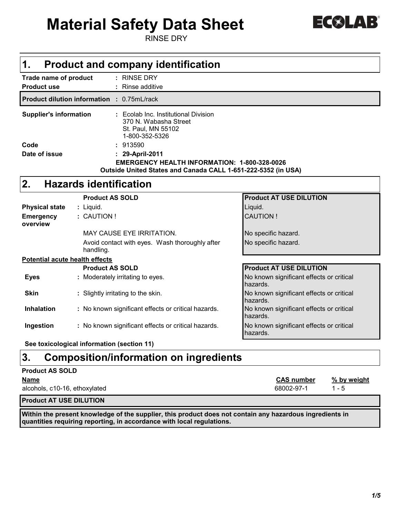# **Material Safety Data Sheet**

RINSE DRY

| $\triangle$ $\sqrt{1}$<br><b>C</b><br>$\sim$<br><b>Contract Contract Contract</b> |  |
|-----------------------------------------------------------------------------------|--|
|-----------------------------------------------------------------------------------|--|

| $\mathbf 1$ .<br><b>Product and company identification</b> |                                                                                                                                        |                                                                                                                                         |                                                      |  |  |
|------------------------------------------------------------|----------------------------------------------------------------------------------------------------------------------------------------|-----------------------------------------------------------------------------------------------------------------------------------------|------------------------------------------------------|--|--|
| Trade name of product<br><b>Product use</b>                |                                                                                                                                        | : RINSE DRY<br>Rinse additive                                                                                                           |                                                      |  |  |
|                                                            |                                                                                                                                        | <b>Product dilution information : 0.75mL/rack</b>                                                                                       |                                                      |  |  |
|                                                            | <b>Supplier's information</b><br>: Ecolab Inc. Institutional Division<br>370 N. Wabasha Street<br>St. Paul, MN 55102<br>1-800-352-5326 |                                                                                                                                         |                                                      |  |  |
| Code                                                       |                                                                                                                                        | : 913590                                                                                                                                |                                                      |  |  |
| Date of issue                                              |                                                                                                                                        | : 29-April-2011<br><b>EMERGENCY HEALTH INFORMATION: 1-800-328-0026</b><br>Outside United States and Canada CALL 1-651-222-5352 (in USA) |                                                      |  |  |
| 2.                                                         |                                                                                                                                        | <b>Hazards identification</b>                                                                                                           |                                                      |  |  |
|                                                            |                                                                                                                                        | <b>Product AS SOLD</b>                                                                                                                  | <b>Product AT USE DILUTION</b>                       |  |  |
| <b>Physical state</b>                                      |                                                                                                                                        | : Liquid.                                                                                                                               | Liquid.                                              |  |  |
| <b>Emergency</b><br>overview                               |                                                                                                                                        | : CAUTION !                                                                                                                             | <b>CAUTION!</b>                                      |  |  |
|                                                            |                                                                                                                                        | <b>MAY CAUSE EYE IRRITATION.</b>                                                                                                        | No specific hazard.                                  |  |  |
|                                                            |                                                                                                                                        | Avoid contact with eyes. Wash thoroughly after<br>handling.                                                                             | No specific hazard.                                  |  |  |
| <b>Potential acute health effects</b>                      |                                                                                                                                        |                                                                                                                                         |                                                      |  |  |
|                                                            |                                                                                                                                        | <b>Product AS SOLD</b>                                                                                                                  | <b>Product AT USE DILUTION</b>                       |  |  |
| <b>Eyes</b>                                                |                                                                                                                                        | : Moderately irritating to eyes.                                                                                                        | No known significant effects or critical<br>hazards. |  |  |
| <b>Skin</b>                                                |                                                                                                                                        | : Slightly irritating to the skin.                                                                                                      | No known significant effects or critical<br>hazards. |  |  |
| <b>Inhalation</b>                                          |                                                                                                                                        | : No known significant effects or critical hazards.                                                                                     | No known significant effects or critical<br>hazards. |  |  |
| Ingestion                                                  |                                                                                                                                        | : No known significant effects or critical hazards.                                                                                     | No known significant effects or critical<br>hazards. |  |  |
|                                                            |                                                                                                                                        | Osa taubaalaataal tufamoottan faastian 44)                                                                                              |                                                      |  |  |

**See toxicological information (section 11)**

### **3. Composition/information on ingredients**

#### **Product AS SOLD**

| <b>Name</b>                   | <b>CAS number</b> | % by weight |
|-------------------------------|-------------------|-------------|
| alcohols, c10-16, ethoxylated | 68002-97-1        | - 5         |
|                               |                   |             |

**Product AT USE DILUTION**

**Within the present knowledge of the supplier, this product does not contain any hazardous ingredients in quantities requiring reporting, in accordance with local regulations.**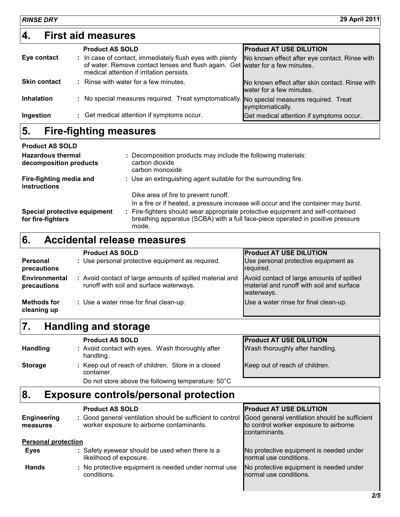*RINSE DRY* **29 April 2011**

|                     | <b>Product AS SOLD</b>                                                                                                                                                                 | <b>Product AT USE DILUTION</b>                                             |
|---------------------|----------------------------------------------------------------------------------------------------------------------------------------------------------------------------------------|----------------------------------------------------------------------------|
| Eye contact         | : In case of contact, immediately flush eyes with plenty<br>of water. Remove contact lenses and flush again. Get water for a few minutes.<br>medical attention if irritation persists. | No known effect after eye contact. Rinse with                              |
| <b>Skin contact</b> | : Rinse with water for a few minutes.                                                                                                                                                  | No known effect after skin contact. Rinse with<br>water for a few minutes. |
| <b>Inhalation</b>   | No special measures required. Treat symptomatically. No special measures required. Treat<br>÷.                                                                                         | symptomatically.                                                           |
| Ingestion           | : Get medical attention if symptoms occur.                                                                                                                                             | Get medical attention if symptoms occur.                                   |

### **5. Fire-fighting measures**

| <b>Product AS SOLD</b>                             |                                                                                                                                                                           |
|----------------------------------------------------|---------------------------------------------------------------------------------------------------------------------------------------------------------------------------|
| <b>Hazardous thermal</b><br>decomposition products | : Decomposition products may include the following materials:<br>carbon dioxide<br>carbon monoxide                                                                        |
| Fire-fighting media and<br><b>instructions</b>     | : Use an extinguishing agent suitable for the surrounding fire.                                                                                                           |
|                                                    | Dike area of fire to prevent runoff.                                                                                                                                      |
|                                                    | In a fire or if heated, a pressure increase will occur and the container may burst.                                                                                       |
| Special protective equipment<br>for fire-fighters  | Fire-fighters should wear appropriate protective equipment and self-contained<br>breathing apparatus (SCBA) with a full face-piece operated in positive pressure<br>mode. |

## **6. Accidental release measures**

|                                | <b>Product AS SOLD</b>                                                                              | <b>Product AT USE DILUTION</b>                                                                       |
|--------------------------------|-----------------------------------------------------------------------------------------------------|------------------------------------------------------------------------------------------------------|
| <b>Personal</b><br>precautions | : Use personal protective equipment as required.                                                    | Use personal protective equipment as<br>required.                                                    |
| Environmental<br>precautions   | : Avoid contact of large amounts of spilled material and<br>runoff with soil and surface waterways. | Avoid contact of large amounts of spilled<br>material and runoff with soil and surface<br>waterways. |
| Methods for<br>cleaning up     | : Use a water rinse for final clean-up.                                                             | Use a water rinse for final clean-up.                                                                |

### **7. Handling and storage**

|                 | <b>Product AS SOLD</b>                                           | <b>Product AT USE DILUTION</b>  |
|-----------------|------------------------------------------------------------------|---------------------------------|
| <b>Handling</b> | : Avoid contact with eyes. Wash thoroughly after<br>handling.    | Wash thoroughly after handling. |
| <b>Storage</b>  | : Keep out of reach of children. Store in a closed<br>container. | Keep out of reach of children.  |
|                 | Do not store above the following temperature: 50°C               |                                 |

### **8. Exposure controls/personal protection**

|                                | <b>Product AS SOLD</b>                                                                                  | <b>Product AT USE DILUTION</b>                                                                           |  |
|--------------------------------|---------------------------------------------------------------------------------------------------------|----------------------------------------------------------------------------------------------------------|--|
| <b>Engineering</b><br>measures | : Good general ventilation should be sufficient to control<br>worker exposure to airborne contaminants. | Good general ventilation should be sufficient<br>to control worker exposure to airborne<br>contaminants. |  |
| <b>Personal protection</b>     |                                                                                                         |                                                                                                          |  |
| <b>Eyes</b>                    | : Safety eyewear should be used when there is a<br>likelihood of exposure.                              | No protective equipment is needed under<br>normal use conditions.                                        |  |
| <b>Hands</b>                   | : No protective equipment is needed under normal use<br>conditions.                                     | No protective equipment is needed under<br>normal use conditions.                                        |  |

I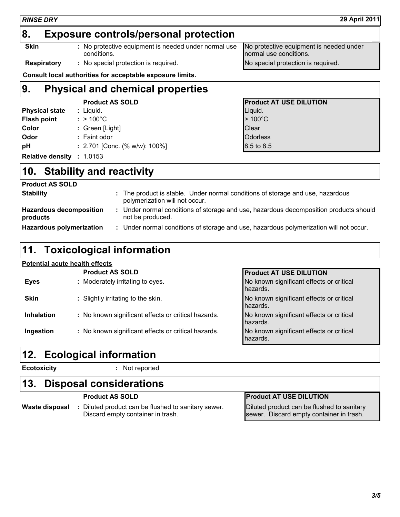### **8. Exposure controls/personal protection**

**Skin :** No protective equipment is needed under normal use conditions. No protective equipment is needed under normal use conditions.

**Respiratory :** No special protection is required. No special protection is required.

**Consult local authorities for acceptable exposure limits.**

#### **9. Physical and chemical properties Product AS SOLD Product AT USE DILUTION Physical state :** Liquid. Lightness **Physical state :** Liquid. **Flash point**  $:$  > 100°C  $\qquad$  > 100°C **Color :** Green [Light] **Color Color Clear Odor by Equal Example 2. Faint odor Constanting Constanting Constanting Constanting Constanting Constanting Constanting Constanting Constanting Constanting Constanting Constanting Constanting Constanting Constanting C pH :** 2.701 [Conc. (% w/w): 100%] 8.5 to 8.5 **Relative density :** 1.0153

### **10. Stability and reactivity**

| <b>Product AS SOLD</b>                     |                                                                                                                  |
|--------------------------------------------|------------------------------------------------------------------------------------------------------------------|
| <b>Stability</b>                           | : The product is stable. Under normal conditions of storage and use, hazardous<br>polymerization will not occur. |
| <b>Hazardous decomposition</b><br>products | Under normal conditions of storage and use, hazardous decomposition products should<br>not be produced.          |
| <b>Hazardous polymerization</b>            | : Under normal conditions of storage and use, hazardous polymerization will not occur.                           |

### **11. Toxicological information**

#### **Potential acute health effects**

|                   | <b>Product AS SOLD</b>                              | <b>Product AT USE DILUTION</b>                       |
|-------------------|-----------------------------------------------------|------------------------------------------------------|
| <b>Eyes</b>       | : Moderately irritating to eyes.                    | No known significant effects or critical<br>hazards. |
| <b>Skin</b>       | : Slightly irritating to the skin.                  | No known significant effects or critical<br>hazards. |
| <b>Inhalation</b> | : No known significant effects or critical hazards. | No known significant effects or critical<br>hazards. |
| Ingestion         | : No known significant effects or critical hazards. | No known significant effects or critical<br>hazards. |

### **12. Ecological information**

**Ecotoxicity :** Not reported

### **13. Disposal considerations**

**Waste disposal :** Diluted product can be flushed to sanitary sewer. Discard empty container in trash.

### **Product AS SOLD Product AT USE DILUTION**

Diluted product can be flushed to sanitary sewer. Discard empty container in trash.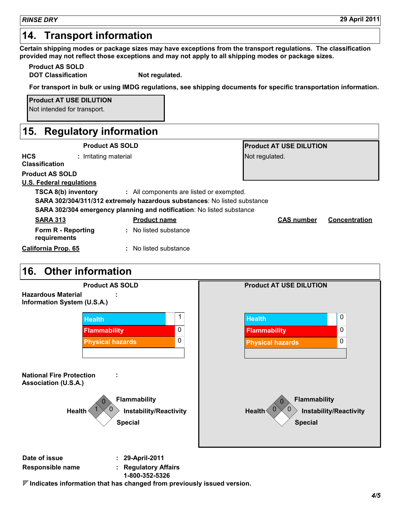### **14. Transport information**

**Certain shipping modes or package sizes may have exceptions from the transport regulations. The classification provided may not reflect those exceptions and may not apply to all shipping modes or package sizes.**

**Product AS SOLD**

**DOT Classification Not regulated.** 

**For transport in bulk or using IMDG regulations, see shipping documents for specific transportation information.**

**Product AT USE DILUTION** Not intended for transport.

### **15. Regulatory information**

|                                                              | <b>Product AS SOLD</b>                                                   | <b>Product AT USE DILUTION</b> |                      |
|--------------------------------------------------------------|--------------------------------------------------------------------------|--------------------------------|----------------------|
| <b>HCS</b><br>: Irritating material<br><b>Classification</b> |                                                                          | Not regulated.                 |                      |
| <b>Product AS SOLD</b>                                       |                                                                          |                                |                      |
| U.S. Federal regulations                                     |                                                                          |                                |                      |
| TSCA 8(b) inventory                                          | : All components are listed or exempted.                                 |                                |                      |
|                                                              | SARA 302/304/311/312 extremely hazardous substances: No listed substance |                                |                      |
|                                                              | SARA 302/304 emergency planning and notification: No listed substance    |                                |                      |
| <b>SARA 313</b>                                              | <b>Product name</b>                                                      | <b>CAS number</b>              | <b>Concentration</b> |
| Form R - Reporting<br>requirements                           | : No listed substance                                                    |                                |                      |
| California Prop. 65                                          | : No listed substance                                                    |                                |                      |

### **16. Other information**



**Responsible name : Regulatory Affairs**

**1-800-352-5326**

**Indicates information that has changed from previously issued version.**